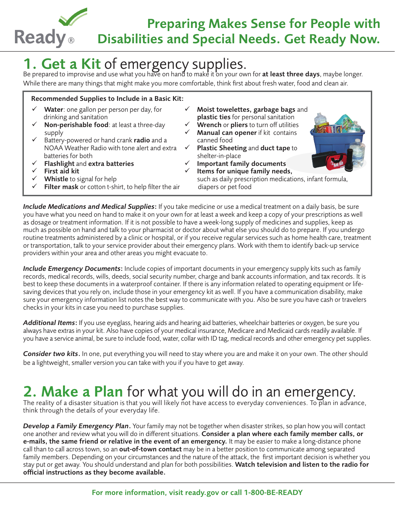

## 1. Get a Kit of emergency supplies.<br>Be prepared to improvise and use what you have on hand to make it on your own for at least three days, maybe longer.

While there are many things that might make you more comfortable, think first about fresh water, food and clean air.

#### Recommended Supplies to Include in a Basic Kit:

- Water: one gallon per person per day, for drinking and sanitation
- Non-perishable food: at least a three-day supply
- Battery-powered or hand crank radio and a NOAA Weather Radio with tone alert and extra batteries for both
- Flashlight and extra batteries
- $\checkmark$  First aid kit
- Whistle to signal for help
- Filter mask or cotton t-shirt, to help filter the air
- Moist towelettes, garbage bags and plastic ties for personal sanitation
- $\checkmark$  Wrench or pliers to turn off utilities
- $\checkmark$  Manual can opener if kit contains canned food
- $\checkmark$  Plastic Sheeting and duct tape to
- shelter-in-place<br>**V** Important fam Important family documents
- $\checkmark$  Items for unique family needs,

 such as daily prescription medications, infant formula, diapers or pet food

*Include Medications and Medical Supplies*: If you take medicine or use a medical treatment on a daily basis, be sure you have what you need on hand to make it on your own for at least a week and keep a copy of your prescriptions as well as dosage or treatment information. If it is not possible to have a week-long supply of medicines and supplies, keep as much as possible on hand and talk to your pharmacist or doctor about what else you should do to prepare. If you undergo routine treatments administered by a clinic or hospital, or if you receive regular services such as home health care, treatment or transportation, talk to your service provider about their emergency plans. Work with them to identify back-up service providers within your area and other areas you might evacuate to.

*Include Emergency Documents*: Include copies of important documents in your emergency supply kits such as family records, medical records, wills, deeds, social security number, charge and bank accounts information, and tax records. It is best to keep these documents in a waterproof container. If there is any information related to operating equipment or lifesaving devices that you rely on, include those in your emergency kit as well. If you have a communication disability, make sure your emergency information list notes the best way to communicate with you. Also be sure you have cash or travelers checks in your kits in case you need to purchase supplies.

*Additional Items*: If you use eyeglass, hearing aids and hearing aid batteries, wheelchair batteries or oxygen, be sure you always have extras in your kit. Also have copies of your medical insurance, Medicare and Medicaid cards readily available. If you have a service animal, be sure to include food, water, collar with ID tag, medical records and other emergency pet supplies.

*Consider two kits*. In one, put everything you will need to stay where you are and make it on your own. The other should be a lightweight, smaller version you can take with you if you have to get away.

# 2. Make a Plan for what you will do in an emergency.<br>The reality of a disaster situation is that you will likely not have access to everyday conveniences. To plan in advance,

think through the details of your everyday life.

*Develop a Family Emergency Plan*. Your family may not be together when disaster strikes, so plan how you will contact one another and review what you will do in different situations. Consider a plan where each family member calls, or e-mails, the same friend or relative in the event of an emergency. It may be easier to make a long-distance phone call than to call across town, so an out-of-town contact may be in a better position to communicate among separated family members. Depending on your circumstances and the nature of the attack, the first important decision is whether you stay put or get away. You should understand and plan for both possibilities. Watch television and listen to the radio for official instructions as they become available.